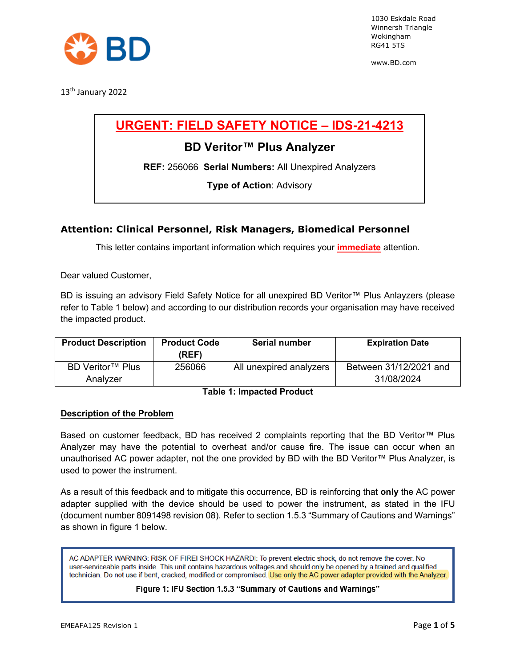

www.BD.com

13<sup>th</sup> January 2022

# **URGENT: FIELD SAFETY NOTICE – IDS-21-4213**

## **BD Veritor™ Plus Analyzer**

**REF:** 256066 **Serial Numbers:** All Unexpired Analyzers

**Type of Action**: Advisory

### **Attention: Clinical Personnel, Risk Managers, Biomedical Personnel**

This letter contains important information which requires your **immediate** attention.

Dear valued Customer,

BD is issuing an advisory Field Safety Notice for all unexpired BD Veritor™ Plus Anlayzers (please refer to Table 1 below) and according to our distribution records your organisation may have received the impacted product.

| <b>Product Description</b> | <b>Product Code</b><br>(REF) | Serial number           | <b>Expiration Date</b> |
|----------------------------|------------------------------|-------------------------|------------------------|
| BD Veritor™ Plus           | 256066                       | All unexpired analyzers | Between 31/12/2021 and |
| Analyzer                   |                              |                         | 31/08/2024             |

**Table 1: Impacted Product**

### **Description of the Problem**

Based on customer feedback, BD has received 2 complaints reporting that the BD Veritor™ Plus Analyzer may have the potential to overheat and/or cause fire. The issue can occur when an unauthorised AC power adapter, not the one provided by BD with the BD Veritor™ Plus Analyzer, is used to power the instrument.

As a result of this feedback and to mitigate this occurrence, BD is reinforcing that **only** the AC power adapter supplied with the device should be used to power the instrument, as stated in the IFU (document number 8091498 revision 08). Refer to section 1.5.3 "Summary of Cautions and Warnings" as shown in figure 1 below.

AC ADAPTER WARNING: RISK OF FIRE! SHOCK HAZARD!: To prevent electric shock, do not remove the cover. No user-serviceable parts inside. This unit contains hazardous voltages and should only be opened by a trained and qualified technician. Do not use if bent, cracked, modified or compromised. Use only the AC power adapter provided with the Analyzer.

### Figure 1: IFU Section 1.5.3 "Summary of Cautions and Warnings"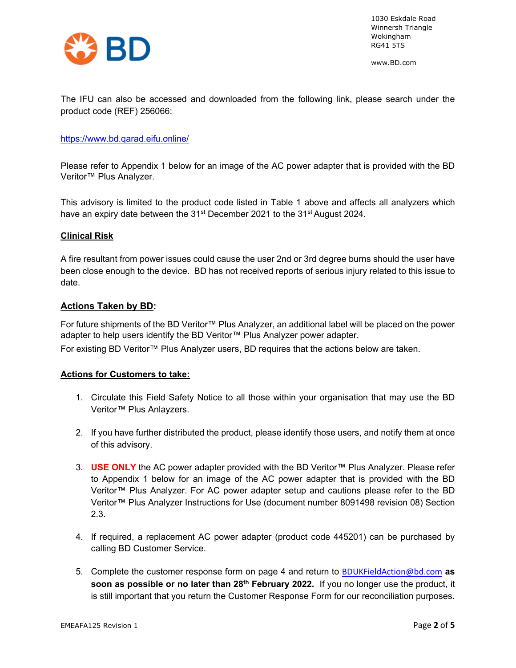

www.BD.com

The IFU can also be accessed and downloaded from the following link, please search under the product code (REF) 256066:

### <https://www.bd.qarad.eifu.online/>

Please refer to Appendix 1 below for an image of the AC power adapter that is provided with the BD Veritor™ Plus Analyzer.

This advisory is limited to the product code listed in Table 1 above and affects all analyzers which have an expiry date between the 31<sup>st</sup> December 2021 to the 31<sup>st</sup> August 2024.

### **Clinical Risk**

A fire resultant from power issues could cause the user 2nd or 3rd degree burns should the user have been close enough to the device. BD has not received reports of serious injury related to this issue to date.

### **Actions Taken by BD:**

For future shipments of the BD Veritor™ Plus Analyzer, an additional label will be placed on the power adapter to help users identify the BD Veritor™ Plus Analyzer power adapter. For existing BD Veritor™ Plus Analyzer users, BD requires that the actions below are taken.

### **Actions for Customers to take:**

- 1. Circulate this Field Safety Notice to all those within your organisation that may use the BD Veritor™ Plus Anlayzers.
- 2. If you have further distributed the product, please identify those users, and notify them at once of this advisory.
- 3. **USE ONLY** the AC power adapter provided with the BD Veritor™ Plus Analyzer. Please refer to Appendix 1 below for an image of the AC power adapter that is provided with the BD Veritor™ Plus Analyzer. For AC power adapter setup and cautions please refer to the BD Veritor™ Plus Analyzer Instructions for Use (document number 8091498 revision 08) Section 2.3.
- 4. If required, a replacement AC power adapter (product code 445201) can be purchased by calling BD Customer Service.
- 5. Complete the customer response form on page 4 and return to [BDUKFieldAction@bd.com](mailto:BDUKFieldAction@bd.com) **as soon as possible or no later than 28th February 2022.** If you no longer use the product, it is still important that you return the Customer Response Form for our reconciliation purposes.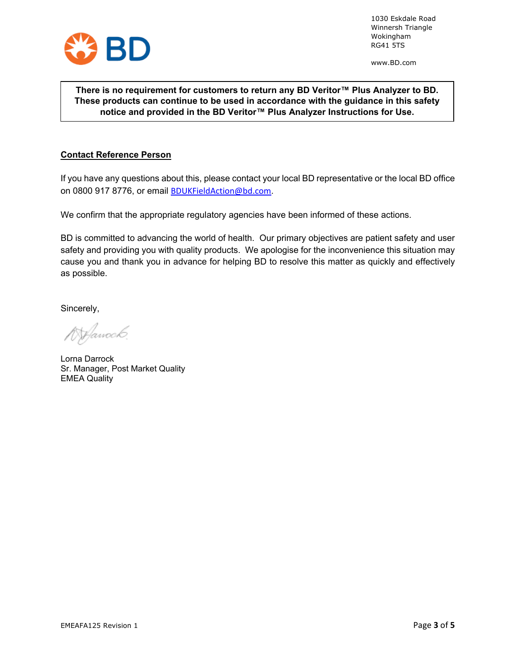

www.BD.com

### **There is no requirement for customers to return any BD Veritor™ Plus Analyzer to BD. These products can continue to be used in accordance with the guidance in this safety notice and provided in the BD Veritor™ Plus Analyzer Instructions for Use.**

### **Contact Reference Person**

If you have any questions about this, please contact your local BD representative or the local BD office on 0800 917 8776, or email [BDUKFieldAction@bd.com](mailto:BDUKFieldAction@bd.com).

We confirm that the appropriate regulatory agencies have been informed of these actions.

BD is committed to advancing the world of health. Our primary objectives are patient safety and user safety and providing you with quality products. We apologise for the inconvenience this situation may cause you and thank you in advance for helping BD to resolve this matter as quickly and effectively as possible.

Sincerely,

*Manock* 

Lorna Darrock Sr. Manager, Post Market Quality EMEA Quality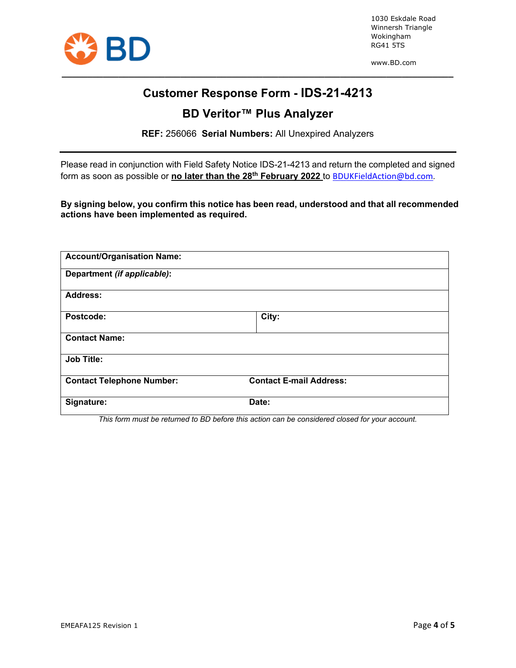

www.BD.com

# **Customer Response Form - IDS-21-4213**

**\_\_\_\_\_\_\_\_\_\_\_\_\_\_\_\_\_\_\_\_\_\_\_\_\_\_\_\_\_\_\_\_\_\_\_\_\_\_\_\_\_\_\_\_\_\_\_\_\_\_\_\_\_\_\_\_\_\_\_\_\_\_\_\_\_\_\_\_\_\_\_\_\_\_\_\_**

# **BD Veritor™ Plus Analyzer**

**REF:** 256066 **Serial Numbers:** All Unexpired Analyzers

Please read in conjunction with Field Safety Notice IDS-21-4213 and return the completed and signed form as soon as possible or **no later than the 28th February 2022** to [BDUKFieldAction@bd.com](mailto:BDUKFieldAction@bd.com)*.*

**By signing below, you confirm this notice has been read, understood and that all recommended actions have been implemented as required.**

| <b>Account/Organisation Name:</b> |                                |  |
|-----------------------------------|--------------------------------|--|
| Department (if applicable):       |                                |  |
| <b>Address:</b>                   |                                |  |
| Postcode:                         | City:                          |  |
| <b>Contact Name:</b>              |                                |  |
| <b>Job Title:</b>                 |                                |  |
| <b>Contact Telephone Number:</b>  | <b>Contact E-mail Address:</b> |  |
| Signature:                        | Date:                          |  |

*This form must be returned to BD before this action can be considered closed for your account.*